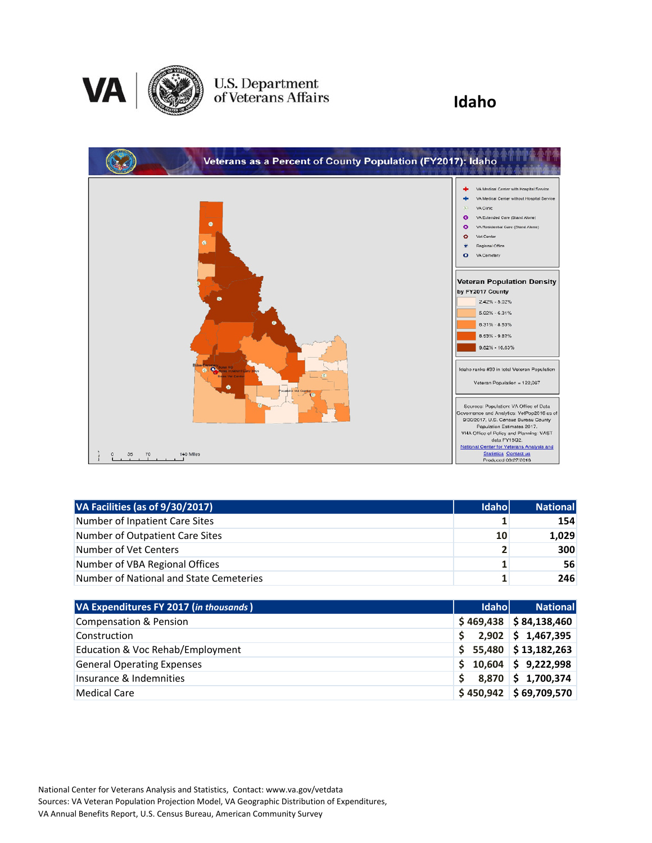

## U.S. Department<br>of Veterans Affairs

### **Idaho**



| VA Facilities (as of 9/30/2017)         | <b>Idahol</b>  | <b>National</b> |
|-----------------------------------------|----------------|-----------------|
| Number of Inpatient Care Sites          |                | 154             |
| Number of Outpatient Care Sites         | 10             | 1,029           |
| Number of Vet Centers                   | $2^{\circ}$    | 300             |
| Number of VBA Regional Offices          | 1              | 56              |
| Number of National and State Cemeteries | 1 <sub>1</sub> | 246             |

| VA Expenditures FY 2017 (in thousands) | <b>Idahol</b> | <b>National</b>          |
|----------------------------------------|---------------|--------------------------|
| <b>Compensation &amp; Pension</b>      |               | $$469,438$ $$84,138,460$ |
| Construction                           |               | $2,902$ \$ 1,467,395     |
| Education & Voc Rehab/Employment       |               | $$5,480$ $$13,182,263$   |
| <b>General Operating Expenses</b>      |               | $$10,604$ $$9,222,998$   |
| Insurance & Indemnities                | S.            | 8,870 \$1,700,374        |
| Medical Care                           |               | $$450,942$ $$69,709,570$ |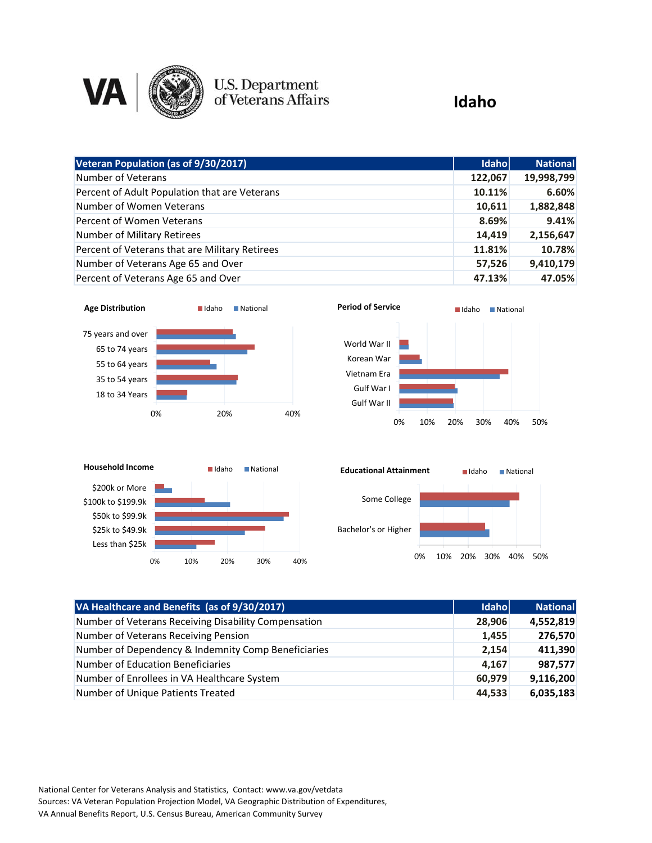

# U.S. Department<br>of Veterans Affairs

### **Idaho**

| Veteran Population (as of 9/30/2017)           | <b>Idaho</b> | <b>National</b> |
|------------------------------------------------|--------------|-----------------|
| Number of Veterans                             | 122,067      | 19,998,799      |
| Percent of Adult Population that are Veterans  | 10.11%       | 6.60%           |
| Number of Women Veterans                       | 10,611       | 1,882,848       |
| Percent of Women Veterans                      | 8.69%        | 9.41%           |
| Number of Military Retirees                    | 14,419       | 2,156,647       |
| Percent of Veterans that are Military Retirees | 11.81%       | 10.78%          |
| Number of Veterans Age 65 and Over             | 57,526       | 9,410,179       |
| Percent of Veterans Age 65 and Over            | 47.13%       | 47.05%          |









| VA Healthcare and Benefits (as of 9/30/2017)         | Idaho  | <b>National</b> |
|------------------------------------------------------|--------|-----------------|
| Number of Veterans Receiving Disability Compensation | 28,906 | 4,552,819       |
| Number of Veterans Receiving Pension                 | 1,455  | 276,570         |
| Number of Dependency & Indemnity Comp Beneficiaries  | 2,154  | 411,390         |
| <b>Number of Education Beneficiaries</b>             | 4,167  | 987,577         |
| Number of Enrollees in VA Healthcare System          | 60,979 | 9,116,200       |
| Number of Unique Patients Treated                    | 44,533 | 6,035,183       |